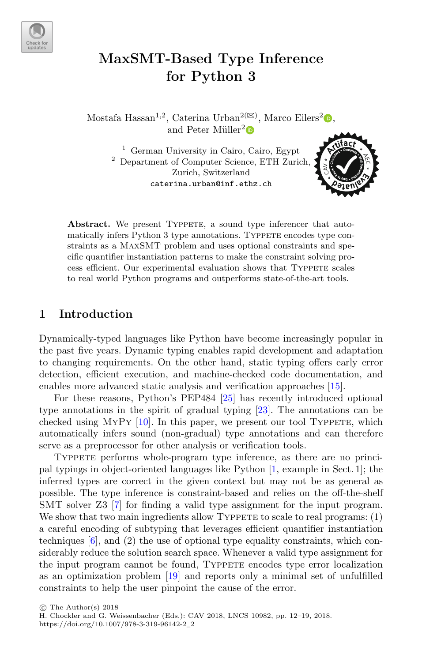

# **MaxSMT-Based Type Inference for Python 3**

Mostafa Hassan<br/>1[,](http://orcid.org/0000-0003-4891-6950)2, Caterina Urban $^{2(\boxtimes)},$  Marco Eilers<br/>  $^{2}\text{\textcircled{e}},$ and Peter Müller<sup>[2](http://orcid.org/0000-0001-7001-2566)</sup><sup>D</sup>

> <sup>1</sup> German University in Cairo, Cairo, Egypt <sup>2</sup> Department of Computer Science, ETH Zurich, Zurich, Switzerland caterina.urban@inf.ethz.ch



**Abstract.** We present TYPPETE, a sound type inferencer that automatically infers Python 3 type annotations. TYPPETE encodes type constraints as a MaxSMT problem and uses optional constraints and specific quantifier instantiation patterns to make the constraint solving process efficient. Our experimental evaluation shows that TYPPETE scales to real world Python programs and outperforms state-of-the-art tools.

### **1 Introduction**

Dynamically-typed languages like Python have become increasingly popular in the past five years. Dynamic typing enables rapid development and adaptation to changing requirements. On the other hand, static typing offers early error detection, efficient execution, and machine-checked code documentation, and enables more advanced static analysis and verification approaches [\[15](#page-6-0)].

For these reasons, Python's PEP484 [\[25](#page-7-0)] has recently introduced optional type annotations in the spirit of gradual typing [\[23](#page-7-1)]. The annotations can be checked using MyPy  $[10]$  $[10]$ . In this paper, we present our tool Typpere, which automatically infers sound (non-gradual) type annotations and can therefore serve as a preprocessor for other analysis or verification tools.

Typpete performs whole-program type inference, as there are no principal typings in object-oriented languages like Python [\[1](#page-6-2), example in Sect. 1]; the inferred types are correct in the given context but may not be as general as possible. The type inference is constraint-based and relies on the off-the-shelf SMT solver Z3 [\[7\]](#page-6-3) for finding a valid type assignment for the input program. We show that two main ingredients allow  $T$  $Y$ PPETE to scale to real programs:  $(1)$ a careful encoding of subtyping that leverages efficient quantifier instantiation techniques  $[6]$ , and  $(2)$  the use of optional type equality constraints, which considerably reduce the solution search space. Whenever a valid type assignment for the input program cannot be found, TYPPETE encodes type error localization as an optimization problem [\[19\]](#page-7-2) and reports only a minimal set of unfulfilled constraints to help the user pinpoint the cause of the error.

 $\circ$  The Author(s) 2018

H. Chockler and G. Weissenbacher (Eds.): CAV 2018, LNCS 10982, pp. 12–19, 2018. https://doi.org/10.1007/978-3-319-96142-2\_2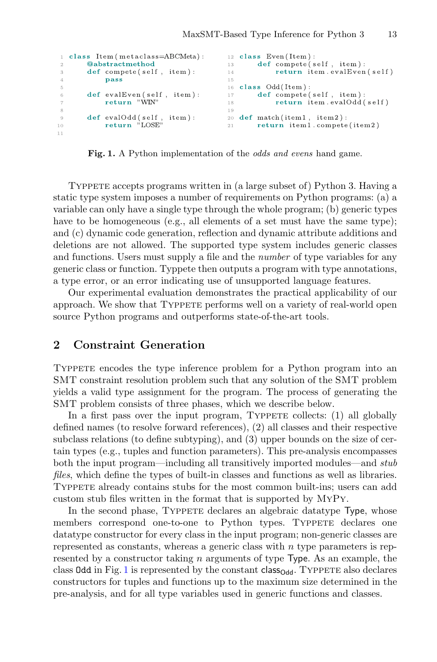```
1 class Item (metaclass=ABCMeta):
                                                                  12 class Even (Item):
                                                                             def compete (self, item):
\overline{2}@abstractmethod
                                                                  1.3return item.evalEven(self)
           def compete (self, item):
\overline{3}14\overline{A}pass
                                                                  1\,\mathrm{5}16 class Odd(Item):\mathbbmss{S}def evalEven (self, item):
                                                                             def compete (self, item):
 6\overline{6}17return "WIN"
                                                                                    return item.evalOdd(self)
 \overline{\tau}1.8
 \overline{\mathbf{s}}19
           \begin{minipage}{.4\linewidth} \begin{minipage}{.4\linewidth} \textbf{def} \ \textbf{evalOdd(self, item):} \\ \textbf{return} \ \textbf{''LOSE''} \end{minipage} \end{minipage}20 def match (item1, item2):
\alphareturn item1.compete(item2)
1021
11
```
<span id="page-1-0"></span>**Fig. 1.** A Python implementation of the *odds and evens* hand game.

Typpete accepts programs written in (a large subset of) Python 3. Having a static type system imposes a number of requirements on Python programs: (a) a variable can only have a single type through the whole program; (b) generic types have to be homogeneous (e.g., all elements of a set must have the same type); and (c) dynamic code generation, reflection and dynamic attribute additions and deletions are not allowed. The supported type system includes generic classes and functions. Users must supply a file and the *number* of type variables for any generic class or function. Typpete then outputs a program with type annotations, a type error, or an error indicating use of unsupported language features.

Our experimental evaluation demonstrates the practical applicability of our approach. We show that Typpete performs well on a variety of real-world open source Python programs and outperforms state-of-the-art tools.

#### <span id="page-1-1"></span>**2 Constraint Generation**

Typpete encodes the type inference problem for a Python program into an SMT constraint resolution problem such that any solution of the SMT problem yields a valid type assignment for the program. The process of generating the SMT problem consists of three phases, which we describe below.

In a first pass over the input program, TYPPETE collects: (1) all globally defined names (to resolve forward references), (2) all classes and their respective subclass relations (to define subtyping), and (3) upper bounds on the size of certain types (e.g., tuples and function parameters). This pre-analysis encompasses both the input program—including all transitively imported modules—and *stub files*, which define the types of built-in classes and functions as well as libraries. Typpete already contains stubs for the most common built-ins; users can add custom stub files written in the format that is supported by MyPy.

In the second phase, TYPPETE declares an algebraic datatype Type, whose members correspond one-to-one to Python types. TYPPETE declares one datatype constructor for every class in the input program; non-generic classes are represented as constants, whereas a generic class with *n* type parameters is represented by a constructor taking *<sup>n</sup>* arguments of type Type. As an example, the class Odd in Fig. [1](#page-1-0) is represented by the constant  $class_{Odd}$ . Typpeter also declares constructors for tuples and functions up to the maximum size determined in the pre-analysis, and for all type variables used in generic functions and classes.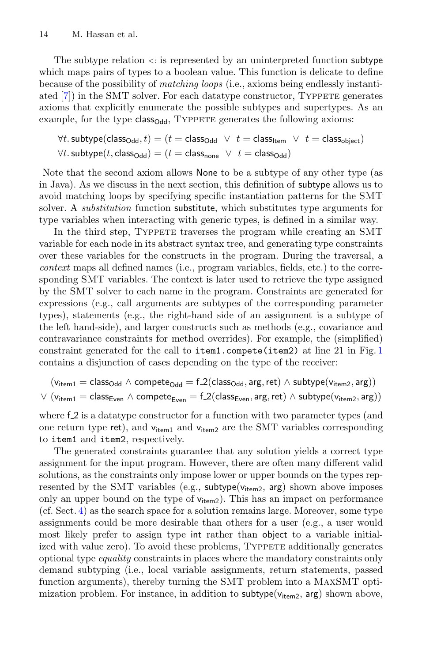The subtype relation *<sup>&</sup>lt;*: is represented by an uninterpreted function subtype which maps pairs of types to a boolean value. This function is delicate to define because of the possibility of *matching loops* (i.e., axioms being endlessly instanti-ated [\[7\]](#page-6-3)) in the SMT solver. For each datatype constructor, TYPPETE generates axioms that explicitly enumerate the possible subtypes and supertypes. As an example, for the type class<sub>Odd</sub>, TYPPETE generates the following axioms:

 $\forall t$ . subtype(class<sub>Odd</sub>, *t*) = (*t* = class<sub>Odd</sub>  $\lor$  *t* = class<sub>Item</sub>  $\lor$  *t* = class<sub>object</sub>)  $\forall t$ . subtype(*t*, class<sub>Odd</sub>) = (*t* = class<sub>none</sub>  $\lor t$  = class<sub>Odd</sub>)

Note that the second axiom allows None to be a subtype of any other type (as in Java). As we discuss in the next section, this definition of subtype allows us to avoid matching loops by specifying specific instantiation patterns for the SMT solver. A *substitution* function substitute, which substitutes type arguments for type variables when interacting with generic types, is defined in a similar way.

In the third step, TYPPETE traverses the program while creating an SMT variable for each node in its abstract syntax tree, and generating type constraints over these variables for the constructs in the program. During the traversal, a *context* maps all defined names (i.e., program variables, fields, etc.) to the corresponding SMT variables. The context is later used to retrieve the type assigned by the SMT solver to each name in the program. Constraints are generated for expressions (e.g., call arguments are subtypes of the corresponding parameter types), statements (e.g., the right-hand side of an assignment is a subtype of the left hand-side), and larger constructs such as methods (e.g., covariance and contravariance constraints for method overrides). For example, the (simplified) constraint generated for the call to item1.compete(item2) at line 21 in Fig. [1](#page-1-0) contains a disjunction of cases depending on the type of the receiver:

 $(v_{item1} = \text{class}_{Odd} \land \text{complete}_{Odd} = f_2(\text{class}_{Odd}, \text{arg}, \text{ret}) \land \text{subtype}(v_{item2}, \text{arg}))$ 

 $∨ (v<sub>item1</sub> = class<sub>Even</sub> ∧ compete<sub>Even</sub> = f_2(class<sub>Even</sub>, arg, ret) ∧ subtype(v<sub>item2</sub>, arg))$ 

where f<sub>-2</sub> is a datatype constructor for a function with two parameter types (and one return type ret), and  $v_{item1}$  and  $v_{item2}$  are the SMT variables corresponding to item1 and item2, respectively.

The generated constraints guarantee that any solution yields a correct type assignment for the input program. However, there are often many different valid solutions, as the constraints only impose lower or upper bounds on the types represented by the SMT variables (e.g., subtype( $v_{item2}$ , arg) shown above imposes only an upper bound on the type of  $v_{item2}$ ). This has an impact on performance (cf. Sect. [4\)](#page-4-0) as the search space for a solution remains large. Moreover, some type assignments could be more desirable than others for a user (e.g., a user would most likely prefer to assign type int rather than object to a variable initialized with value zero). To avoid these problems, TYPPETE additionally generates optional type *equality* constraints in places where the mandatory constraints only demand subtyping (i.e., local variable assignments, return statements, passed function arguments), thereby turning the SMT problem into a MaxSMT optimization problem. For instance, in addition to subtype( $v_{item2}$ , arg) shown above,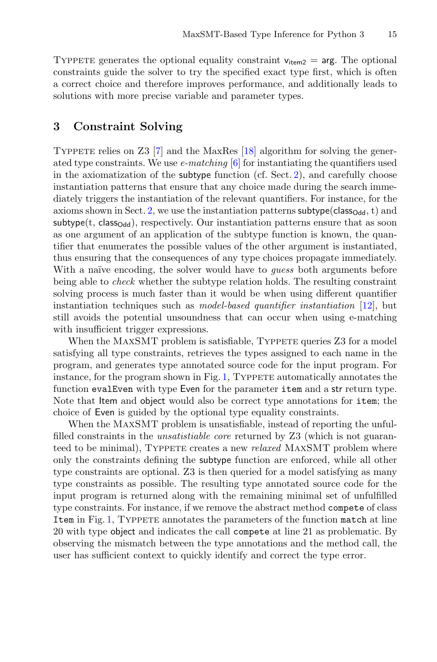TYPPETE generates the optional equality constraint  $v_{\text{item2}} = \text{arg. The optional}$ constraints guide the solver to try the specified exact type first, which is often a correct choice and therefore improves performance, and additionally leads to solutions with more precise variable and parameter types.

### <span id="page-3-0"></span>**3 Constraint Solving**

Typpete relies on Z3 [\[7\]](#page-6-3) and the MaxRes [\[18](#page-7-3)] algorithm for solving the generated type constraints. We use *e-matching* [\[6](#page-6-4)] for instantiating the quantifiers used in the axiomatization of the subtype function (cf. Sect. [2\)](#page-1-1), and carefully choose instantiation patterns that ensure that any choice made during the search immediately triggers the instantiation of the relevant quantifiers. For instance, for the axioms shown in Sect. [2,](#page-1-1) we use the instantiation patterns subtype(class<sub>Odd</sub>, t) and  $subtype(t, class<sub>Odd</sub>)$ , respectively. Our instantiation patterns ensure that as soon as one argument of an application of the subtype function is known, the quantifier that enumerates the possible values of the other argument is instantiated, thus ensuring that the consequences of any type choices propagate immediately. With a naïve encoding, the solver would have to *quess* both arguments before being able to *check* whether the subtype relation holds. The resulting constraint solving process is much faster than it would be when using different quantifier instantiation techniques such as *model-based quantifier instantiation* [\[12](#page-6-5)], but still avoids the potential unsoundness that can occur when using e-matching with insufficient trigger expressions.

When the MAXSMT problem is satisfiable, TYPPETE queries Z3 for a model satisfying all type constraints, retrieves the types assigned to each name in the program, and generates type annotated source code for the input program. For instance, for the program shown in Fig. [1,](#page-1-0) TYPPETE automatically annotates the function evalEven with type Even for the parameter item and a str return type. Note that Item and object would also be correct type annotations for item; the choice of Even is guided by the optional type equality constraints.

When the MaxSMT problem is unsatisfiable, instead of reporting the unfulfilled constraints in the *unsatistiable core* returned by Z3 (which is not guaranteed to be minimal), TYPPETE creates a new *relaxed* MAXSMT problem where only the constraints defining the subtype function are enforced, while all other type constraints are optional. Z3 is then queried for a model satisfying as many type constraints as possible. The resulting type annotated source code for the input program is returned along with the remaining minimal set of unfulfilled type constraints. For instance, if we remove the abstract method compete of class Item in Fig. [1,](#page-1-0) TYPPETE annotates the parameters of the function match at line 20 with type object and indicates the call compete at line 21 as problematic. By observing the mismatch between the type annotations and the method call, the user has sufficient context to quickly identify and correct the type error.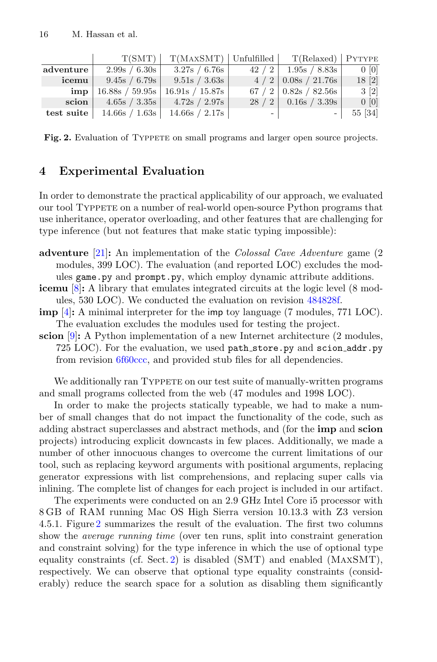|           |               | $T(SMT)$   $T(MAXSMT)$   Unfulfilled   $T(Relaxed)$   PYTYPE |   |                                  |         |
|-----------|---------------|--------------------------------------------------------------|---|----------------------------------|---------|
| adventure | 2.99s / 6.30s | 3.27s / 6.76s                                                |   | $42 / 2$   1.95s / 8.83s   0 [0] |         |
| icemu     |               | 9.45s / 6.79s   9.51s / 3.63s                                |   | $4 / 2$   0.08s / 21.76s         | 18[2]   |
|           |               | $\mathbf{imp}$   16.88s / 59.95s   16.91s / 15.87s           |   | 67 / 2   0.82s / 82.56s          | 3[2]    |
|           |               | scion   $4.65s / 3.35s$   $4.72s / 2.97s$                    |   | $28 / 2$ 0.16s / 3.39s           | [0]     |
|           |               | test suite   $14.66s / 1.63s$   $14.66s / 2.17s$             | - |                                  | 55 [34] |

<span id="page-4-1"></span>Fig. 2. Evaluation of TYPPETE on small programs and larger open source projects.

## <span id="page-4-0"></span>**4 Experimental Evaluation**

In order to demonstrate the practical applicability of our approach, we evaluated our tool Typpete on a number of real-world open-source Python programs that use inheritance, operator overloading, and other features that are challenging for type inference (but not features that make static typing impossible):

- **adventure** [\[21](#page-7-4)]**:** An implementation of the *Colossal Cave Adventure* game (2 modules, 399 LOC). The evaluation (and reported LOC) excludes the modules game.py and prompt.py, which employ dynamic attribute additions.
- **icemu** [\[8](#page-6-6)]: A library that emulates integrated circuits at the logic level (8 modules, 530 LOC). We conducted the evaluation on revision [484828f.](https://github.com/hsoft/icemu/tree/484828fe9cf18b7abf548700f4c17b4fb42a6b3d)
- **imp** [\[4](#page-6-7)]**:** A minimal interpreter for the imp toy language (7 modules, 771 LOC). The evaluation excludes the modules used for testing the project.
- **scion** [\[9](#page-6-8)]**:** A Python implementation of a new Internet architecture (2 modules, 725 LOC). For the evaluation, we used path store.py and scion addr.py from revision [6f60ccc,](https://github.com/scionproto/scion/tree/6f60ccc50b25870606810628b3da9e62779d8d11) and provided stub files for all dependencies.

We additionally ran TYPPETE on our test suite of manually-written programs and small programs collected from the web (47 modules and 1998 LOC).

In order to make the projects statically typeable, we had to make a number of small changes that do not impact the functionality of the code, such as adding abstract superclasses and abstract methods, and (for the **imp** and **scion** projects) introducing explicit downcasts in few places. Additionally, we made a number of other innocuous changes to overcome the current limitations of our tool, such as replacing keyword arguments with positional arguments, replacing generator expressions with list comprehensions, and replacing super calls via inlining. The complete list of changes for each project is included in our artifact.

The experiments were conducted on an 2.9 GHz Intel Core i5 processor with 8 GB of RAM running Mac OS High Sierra version 10.13.3 with Z3 version 4.5.1. Figure [2](#page-4-1) summarizes the result of the evaluation. The first two columns show the *average running time* (over ten runs, split into constraint generation and constraint solving) for the type inference in which the use of optional type equality constraints (cf. Sect. [2\)](#page-1-1) is disabled (SMT) and enabled (MaxSMT), respectively. We can observe that optional type equality constraints (considerably) reduce the search space for a solution as disabling them significantly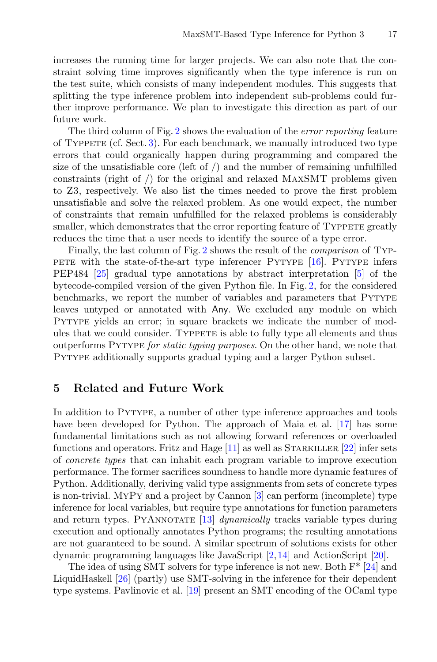increases the running time for larger projects. We can also note that the constraint solving time improves significantly when the type inference is run on the test suite, which consists of many independent modules. This suggests that splitting the type inference problem into independent sub-problems could further improve performance. We plan to investigate this direction as part of our future work.

The third column of Fig. [2](#page-4-1) shows the evaluation of the *error reporting* feature of TYPPETE (cf. Sect. [3\)](#page-3-0). For each benchmark, we manually introduced two type errors that could organically happen during programming and compared the size of the unsatisfiable core (left of */*) and the number of remaining unfulfilled constraints (right of */*) for the original and relaxed MaxSMT problems given to Z3, respectively. We also list the times needed to prove the first problem unsatisfiable and solve the relaxed problem. As one would expect, the number of constraints that remain unfulfilled for the relaxed problems is considerably smaller, which demonstrates that the error reporting feature of TYPPETE greatly reduces the time that a user needs to identify the source of a type error.

Finally, the last column of Fig. [2](#page-4-1) shows the result of the *comparison* of Typpete with the state-of-the-art type inferencer Pytype [\[16](#page-6-9)]. Pytype infers PEP484 [\[25\]](#page-7-0) gradual type annotations by abstract interpretation [\[5](#page-6-10)] of the bytecode-compiled version of the given Python file. In Fig. [2,](#page-4-1) for the considered benchmarks, we report the number of variables and parameters that Pytype leaves untyped or annotated with Any. We excluded any module on which Pytype yields an error; in square brackets we indicate the number of modules that we could consider. TYPPETE is able to fully type all elements and thus outperforms Pytype *for static typing purposes*. On the other hand, we note that Pytype additionally supports gradual typing and a larger Python subset.

#### **5 Related and Future Work**

In addition to Pytype, a number of other type inference approaches and tools have been developed for Python. The approach of Maia et al. [\[17](#page-7-5)] has some fundamental limitations such as not allowing forward references or overloaded functions and operators. Fritz and Hage  $[11]$  as well as STARKILLER  $[22]$  infer sets of *concrete types* that can inhabit each program variable to improve execution performance. The former sacrifices soundness to handle more dynamic features of Python. Additionally, deriving valid type assignments from sets of concrete types is non-trivial. MyPy and a project by Cannon [\[3](#page-6-12)] can perform (incomplete) type inference for local variables, but require type annotations for function parameters and return types. PYANNOTATE [\[13](#page-6-13)] *dynamically* tracks variable types during execution and optionally annotates Python programs; the resulting annotations are not guaranteed to be sound. A similar spectrum of solutions exists for other dynamic programming languages like JavaScript [\[2,](#page-6-14)[14](#page-6-15)] and ActionScript [\[20\]](#page-7-7).

The idea of using SMT solvers for type inference is not new. Both  $F^*$  [\[24\]](#page-7-8) and LiquidHaskell [\[26\]](#page-7-9) (partly) use SMT-solving in the inference for their dependent type systems. Pavlinovic et al. [\[19\]](#page-7-2) present an SMT encoding of the OCaml type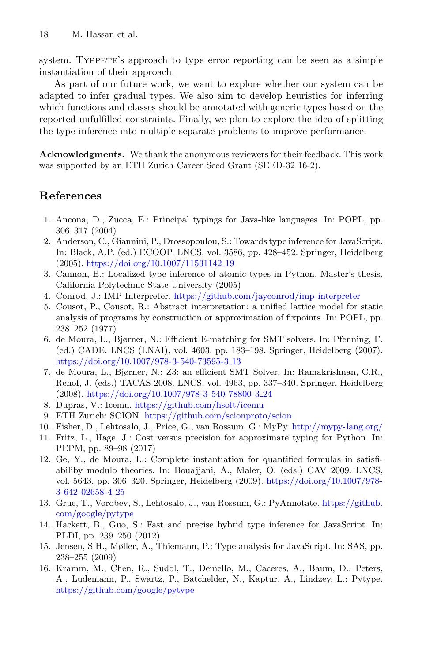system. TYPPETE's approach to type error reporting can be seen as a simple instantiation of their approach.

As part of our future work, we want to explore whether our system can be adapted to infer gradual types. We also aim to develop heuristics for inferring which functions and classes should be annotated with generic types based on the reported unfulfilled constraints. Finally, we plan to explore the idea of splitting the type inference into multiple separate problems to improve performance.

**Acknowledgments.** We thank the anonymous reviewers for their feedback. This work was supported by an ETH Zurich Career Seed Grant (SEED-32 16-2).

# **References**

- <span id="page-6-2"></span>1. Ancona, D., Zucca, E.: Principal typings for Java-like languages. In: POPL, pp. 306–317 (2004)
- <span id="page-6-14"></span>2. Anderson, C., Giannini, P., Drossopoulou, S.: Towards type inference for JavaScript. In: Black, A.P. (ed.) ECOOP. LNCS, vol. 3586, pp. 428–452. Springer, Heidelberg (2005). [https://doi.org/10.1007/11531142](https://doi.org/10.1007/11531142_19) 19
- <span id="page-6-12"></span>3. Cannon, B.: Localized type inference of atomic types in Python. Master's thesis, California Polytechnic State University (2005)
- <span id="page-6-7"></span>4. Conrod, J.: IMP Interpreter. <https://github.com/jayconrod/imp-interpreter>
- <span id="page-6-10"></span>5. Cousot, P., Cousot, R.: Abstract interpretation: a unified lattice model for static analysis of programs by construction or approximation of fixpoints. In: POPL, pp. 238–252 (1977)
- <span id="page-6-4"></span>6. de Moura, L., Bjørner, N.: Efficient E-matching for SMT solvers. In: Pfenning, F. (ed.) CADE. LNCS (LNAI), vol. 4603, pp. 183–198. Springer, Heidelberg (2007). [https://doi.org/10.1007/978-3-540-73595-3](https://doi.org/10.1007/978-3-540-73595-3_13)<sub>-13</sub>
- <span id="page-6-3"></span>7. de Moura, L., Bjørner, N.: Z3: an efficient SMT Solver. In: Ramakrishnan, C.R., Rehof, J. (eds.) TACAS 2008. LNCS, vol. 4963, pp. 337–340. Springer, Heidelberg (2008). [https://doi.org/10.1007/978-3-540-78800-3](https://doi.org/10.1007/978-3-540-78800-3_24) 24
- <span id="page-6-6"></span>8. Dupras, V.: Icemu. <https://github.com/hsoft/icemu>
- <span id="page-6-8"></span>9. ETH Zurich: SCION. <https://github.com/scionproto/scion>
- <span id="page-6-1"></span>10. Fisher, D., Lehtosalo, J., Price, G., van Rossum, G.: MyPy. <http://mypy-lang.org/>
- <span id="page-6-11"></span>11. Fritz, L., Hage, J.: Cost versus precision for approximate typing for Python. In: PEPM, pp. 89–98 (2017)
- <span id="page-6-5"></span>12. Ge, Y., de Moura, L.: Complete instantiation for quantified formulas in satisfiabiliby modulo theories. In: Bouajjani, A., Maler, O. (eds.) CAV 2009. LNCS, vol. 5643, pp. 306–320. Springer, Heidelberg (2009). [https://doi.org/10.1007/978-](https://doi.org/10.1007/978-3-642-02658-4_25) [3-642-02658-4](https://doi.org/10.1007/978-3-642-02658-4_25) 25
- <span id="page-6-13"></span>13. Grue, T., Vorobev, S., Lehtosalo, J., van Rossum, G.: PyAnnotate. [https://github.](https://github.com/google/pytype) [com/google/pytype](https://github.com/google/pytype)
- <span id="page-6-15"></span>14. Hackett, B., Guo, S.: Fast and precise hybrid type inference for JavaScript. In: PLDI, pp. 239–250 (2012)
- <span id="page-6-0"></span>15. Jensen, S.H., Møller, A., Thiemann, P.: Type analysis for JavaScript. In: SAS, pp. 238–255 (2009)
- <span id="page-6-9"></span>16. Kramm, M., Chen, R., Sudol, T., Demello, M., Caceres, A., Baum, D., Peters, A., Ludemann, P., Swartz, P., Batchelder, N., Kaptur, A., Lindzey, L.: Pytype. <https://github.com/google/pytype>